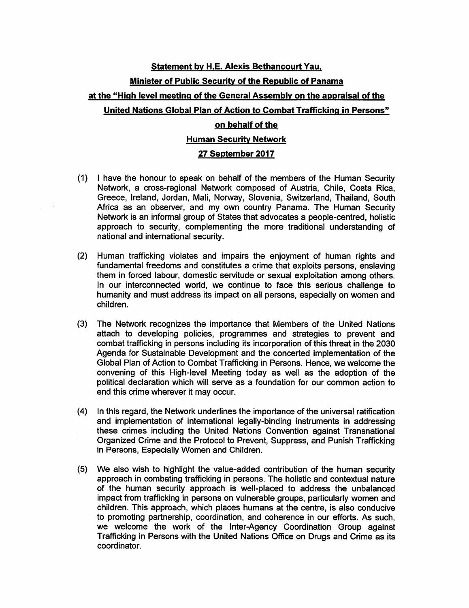## statement bv H.E. Alexis Bethancourt Yau. Minister of Public Security of the Republic of Panama at the "High level meeting of the General Assembly on the appraisal of the

## United Nations Global Plan of Action to Combat Trafficking in Persons"

## on behalf of the **Human Security Network**

## 27 September 2017

- (1) I have the honour to speak on behalf of the members of the Human Security Network, a cross-regional Network composed of Austria, Chile, Costa Rica, Greece, Ireland, Jordan, Mali, Norway, Slovenia, Switzerland, Thailand, South Africa as an observer, and my own country Panama. The Human Security Network is an informal group of States that advocates a people-centred, holistic approach to security, complementing the more traditional understanding of national and international security.
- (2) Human trafficking violates and impairs the enjoyment of human rights and fundamental freedoms and constitutes a crime that exploits persons, enslaving them in forced labour, domestic servitude or sexual exploitation among others. In our interconnected world, we continue to face this serious challenge to humanity and must address its impact on all persons, especially on women and children.
- (3) The Network recognizes the importance that Members of the United Nations attach to developing policies, programmes and strategies to prevent and combat trafficking in persons including its incorporation of this threat in the 2030 Agenda for Sustainable Development and the concerted implementation of the Global Plan of Action to Combat Trafficking in Persons. Hence, we welcome the convening of this High-level Meeting today as well as the adoption of the political declaration which will serve as a foundation for our common action to end this crime wherever it may occur.
- (4) In this regard, the Network underlines the importance of the universal ratification and implementation of international legally-binding instruments in addressing these crimes including the United Nations Convention against Transnational Organized Crime and the Protocol to Prevent, Suppress, and Punish Trafficking in Persons, Especially Women and Children.
- (5) We also wish to highlight the value-added contribution of the human security approach in combating trafficking in persons. The holistic and contextual nature of the human security approach is well-placed to address the unbalanced impact from trafficking in persons on vulnerable groups, particularly women and children. This approach, which places humans at the centre, is also conducive to promoting partnership, coordination, and coherence in our efforts. As such, we welcome the work of the Inter-Agency Coordination Group against Trafficking in Persons with the United Nations Office on Drugs and Crime as its coordinator.